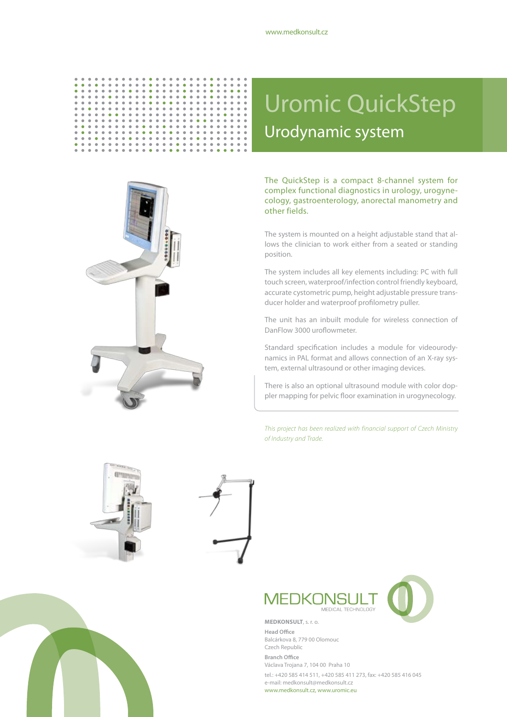#### $\ddot{\phantom{a}}$  $\begin{array}{c} \bullet\hspace{0.1cm}\bullet\hspace{0.1cm}\bullet\hspace{0.1cm} \bullet \\ \bullet\hspace{0.1cm}\bullet\hspace{0.1cm}\bullet \end{array}$  $\bullet$  $\bullet$  $\ddot{\phantom{a}}$  $\ddot{\phantom{a}}$  $\ddot{\bullet}$  $\ddot{\phantom{0}}$  $\begin{array}{c} \bullet \\ \bullet \end{array}$  $\ddot{\bullet}$  $\frac{1}{2}$  $\begin{array}{c} \bullet \\ \bullet \end{array}$  $\ddot{\phantom{0}}$  $\ddot{\phantom{0}}$  $\ddot{\bullet}$  $\ddot{\phantom{a}}$  $\ddot{\phantom{0}}$  $\ddot{\phantom{0}}$  $\ddot{\bullet}$  $\ddot{\phantom{a}}$  $\ddot{\phantom{0}}$  $\ddot{\bullet}$  $\ddot{\bullet}$ **----------** $\begin{array}{c} \bullet \\ \bullet \\ \bullet \\ \bullet \end{array}$  $\begin{array}{c} 0 \\ 0 \\ 0 \end{array}$  $\begin{array}{c} 0 \\ 0 \\ 0 \\ 0 \end{array}$  $\bullet$  $\alpha$  ,  $\alpha$  $\alpha$  $\alpha$  $\bullet$  $\alpha$  $\alpha$  $\bullet$  $\bullet$  $\alpha$  $\bullet$  $\hat{\mathbf{0}}$  $\bullet$  $\bullet$  $\bullet$  $\hat{\mathbf{0}}$  $\bullet$  $\bullet$  $\bullet$  $\bullet$  $\frac{1}{2}$  $\ddot{\phantom{a}}$  $\ddot{\phantom{1}}$  $\ddot{\phantom{a}}$  $\ddot{\phantom{1}}$  $\frac{1}{2}$  $\ddot{\bullet}$  $\ddot{\phantom{a}}$  $\ddot{\bullet}$  $\ddot{\bullet}$  $\frac{1}{2}$  $\ddot{\bullet}$  $\ddot{\bullet}$  $\ddot{\bullet}$  $\ddot{\phantom{a}}$  $\ddot{\bullet}$  $\bullet$  $\ddot{\phantom{a}}$  $\bullet$  $\alpha$  $\hat{\bullet}$  $\stackrel{-}{\bullet}$  $\alpha$  $\bullet$  $\bullet$  $\bullet$  $\bullet$  $\bullet$  $\bullet$  $\begin{array}{c} 0 \\ 0 \\ 0 \end{array}$  $\bullet$  $\alpha$  $\sim$   $\sim$  $\alpha$  $\bullet$  $\bullet$  $\bullet$  $\bullet$  $\alpha$  $\bullet$  $\bullet$  $\alpha$  $\bullet$  $\bullet$  $\alpha$  $\bullet$  $\bullet$  $\bullet$  $\bullet$  $\alpha$  $\bullet$  $\alpha$  $\ddot{\phantom{a}}$  $\ddot{\phantom{a}}$  $\ddot{\phantom{a}}$  $\ddot{\phantom{a}}$  $\frac{1}{2}$  $\frac{1}{2}$  $\frac{1}{2}$  $\ddot{\bullet}$  $\frac{1}{2}$  $\ddot{\bullet}$  $\ddot{\bullet}$  $\frac{1}{2}$  $\ddot{\phantom{a}}$  $\frac{1}{2}$  $\ddot{\phantom{a}}$  $\bullet$  $\bullet$  $\bullet$  $\alpha$  $\alpha$  $\bullet$  $\bullet$  $\alpha$  $\bullet$  $\bullet$  $\bullet$  $\bullet$  $\alpha$  $\bullet$  $\bullet$  $\bullet$  $\bullet$  $\bullet$  $\bullet$  $\bullet$  $\bullet$  $\bullet$  $\bullet$  $\bullet$  $\ddot{\bullet}$  $\bar{\bullet}$  $\ddot{\bullet}$  $\ddot{\bullet}$ ÷  $\ddot{\phantom{1}}$  $\ddot{\bullet}$  $\ddot{\bullet}$  $\ddot{\bullet}$  $\ddot{\bullet}$  $\ddot{\phantom{1}}$  $\ddot{\phantom{a}}$  $\ddot{\bullet}$  $\ddot{\bullet}$  $\bullet$  $\bullet$  $\bullet$  $\bullet$  $\bullet$  $\bullet$  $\bullet$  $\bullet$  $\bullet$  $\bullet$  $\bullet$  $\bullet$  $\bullet$  $\bullet$  $\bullet$  $\bullet$  $\bullet$  $\bullet$



# Uromic QuickStep Urodynamic system

The QuickStep is a compact 8-channel system for complex functional diagnostics in urology, urogynecology, gastroenterology, anorectal manometry and other fields.

The system is mounted on a height adjustable stand that allows the clinician to work either from a seated or standing position.

The system includes all key elements including: PC with full touch screen, waterproof/infection control friendly keyboard, accurate cystometric pump, height adjustable pressure transducer holder and waterproof profilometry puller.

The unit has an inbuilt module for wireless connection of DanFlow 3000 uroflowmeter.

Standard specification includes a module for videourodynamics in PAL format and allows connection of an X-ray system, external ultrasound or other imaging devices.

There is also an optional ultrasound module with color doppler mapping for pelvic floor examination in urogynecology.

*This project has been realized with financial support of Czech Ministry of Industry and Trade.*







**Head Office** Balcárkova 8, 779 00 Olomouc Czech Republic **Branch Office** Václava Trojana 7, 104 00 Praha 10 tel.: +420 585 414 511, +420 585 411 273, fax: +420 585 416 045 e-mail: medkonsult@medkonsult.cz www.medkonsult.cz, www.uromic.eu